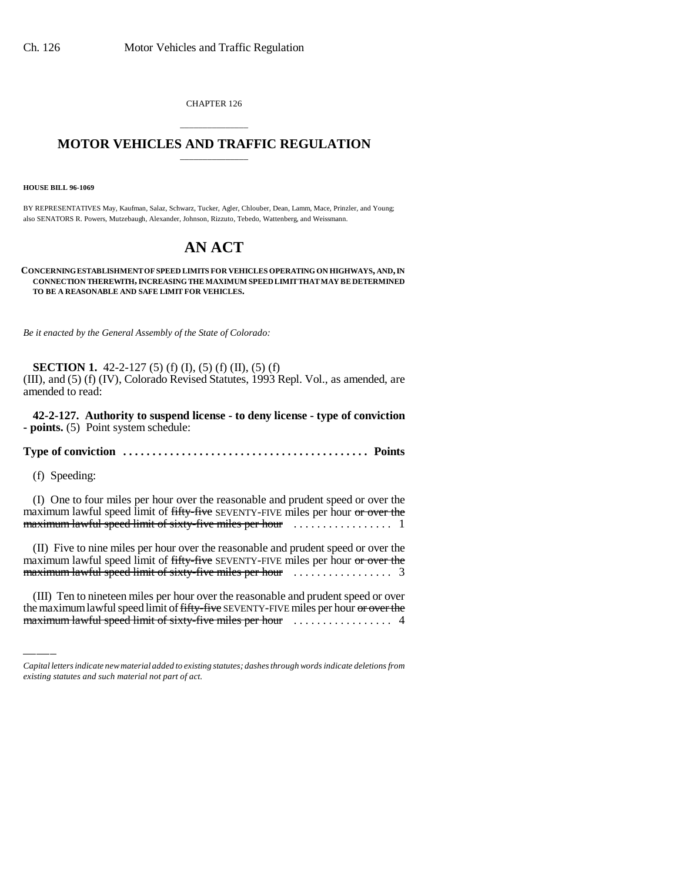CHAPTER 126

## \_\_\_\_\_\_\_\_\_\_\_\_\_\_\_ **MOTOR VEHICLES AND TRAFFIC REGULATION** \_\_\_\_\_\_\_\_\_\_\_\_\_\_\_

**HOUSE BILL 96-1069**

BY REPRESENTATIVES May, Kaufman, Salaz, Schwarz, Tucker, Agler, Chlouber, Dean, Lamm, Mace, Prinzler, and Young; also SENATORS R. Powers, Mutzebaugh, Alexander, Johnson, Rizzuto, Tebedo, Wattenberg, and Weissmann.

## **AN ACT**

**CONCERNING ESTABLISHMENT OF SPEED LIMITS FOR VEHICLES OPERATING ON HIGHWAYS, AND, IN CONNECTION THEREWITH, INCREASING THE MAXIMUM SPEED LIMIT THAT MAY BE DETERMINED TO BE A REASONABLE AND SAFE LIMIT FOR VEHICLES.**

*Be it enacted by the General Assembly of the State of Colorado:*

**SECTION 1.** 42-2-127 (5) (f) (I), (5) (f) (II), (5) (f) (III), and (5) (f) (IV), Colorado Revised Statutes, 1993 Repl. Vol., as amended, are amended to read:

**42-2-127. Authority to suspend license - to deny license - type of conviction - points.** (5) Point system schedule:

**Type of conviction . . . . . . . . . . . . . . . . . . . . . . . . . . . . . . . . . . . . . . . . . . Points**

(f) Speeding:

(I) One to four miles per hour over the reasonable and prudent speed or over the maximum lawful speed limit of fifty-five SEVENTY-FIVE miles per hour or over the maximum lawful speed limit of sixty-five miles per hour ................. 1

maximum lawful speed limit of sixty-five miles per hour ................. 3 (II) Five to nine miles per hour over the reasonable and prudent speed or over the maximum lawful speed limit of fifty-five SEVENTY-FIVE miles per hour or over the

(III) Ten to nineteen miles per hour over the reasonable and prudent speed or over the maximum lawful speed limit of fifty-five SEVENTY-FIVE miles per hour or over the maximum lawful speed limit of sixty-five miles per hour ................. 4

*Capital letters indicate new material added to existing statutes; dashes through words indicate deletions from existing statutes and such material not part of act.*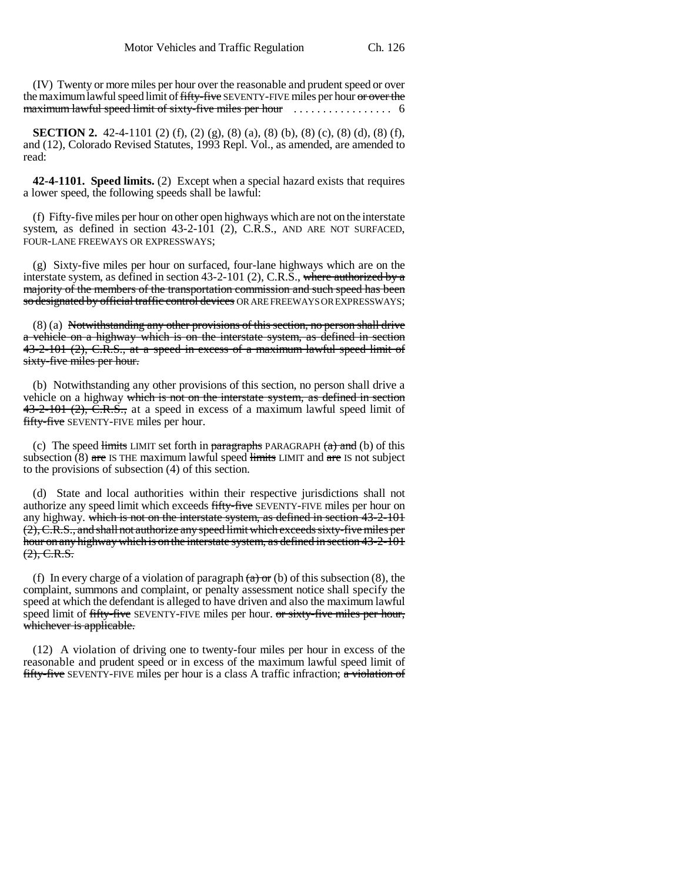(IV) Twenty or more miles per hour over the reasonable and prudent speed or over the maximum lawful speed limit of fifty-five SEVENTY-FIVE miles per hour or over the maximum lawful speed limit of sixty-five miles per hour ................. 6

**SECTION 2.** 42-4-1101 (2) (f), (2) (g), (8) (a), (8) (b), (8) (c), (8) (d), (8) (f), and (12), Colorado Revised Statutes, 1993 Repl. Vol., as amended, are amended to read:

**42-4-1101. Speed limits.** (2) Except when a special hazard exists that requires a lower speed, the following speeds shall be lawful:

(f) Fifty-five miles per hour on other open highways which are not on the interstate system, as defined in section 43-2-101 (2), C.R.S., AND ARE NOT SURFACED, FOUR-LANE FREEWAYS OR EXPRESSWAYS;

(g) Sixty-five miles per hour on surfaced, four-lane highways which are on the interstate system, as defined in section 43-2-101 (2), C.R.S., where authorized by a majority of the members of the transportation commission and such speed has been so designated by official traffic control devices OR ARE FREEWAYS OR EXPRESSWAYS;

(8) (a) Notwithstanding any other provisions of this section, no person shall drive a vehicle on a highway which is on the interstate system, as defined in section 43-2-101 (2), C.R.S., at a speed in excess of a maximum lawful speed limit of sixty-five miles per hour.

(b) Notwithstanding any other provisions of this section, no person shall drive a vehicle on a highway which is not on the interstate system, as defined in section  $43-2-101$  (2), C.R.S., at a speed in excess of a maximum lawful speed limit of fifty-five SEVENTY-FIVE miles per hour.

(c) The speed limits LIMIT set forth in paragraphs PARAGRAPH  $(a)$  and (b) of this subsection  $(8)$  are IS THE maximum lawful speed limits LIMIT and are IS not subject to the provisions of subsection (4) of this section.

(d) State and local authorities within their respective jurisdictions shall not authorize any speed limit which exceeds fifty-five SEVENTY-FIVE miles per hour on any highway. which is not on the interstate system, as defined in section 43-2-101 (2), C.R.S., and shall not authorize any speed limit which exceeds sixty-five miles per hour on any highway which is on the interstate system, as defined in section 43-2-101  $(2), C.R.S.$ 

(f) In every charge of a violation of paragraph  $(a)$  or (b) of this subsection (8), the complaint, summons and complaint, or penalty assessment notice shall specify the speed at which the defendant is alleged to have driven and also the maximum lawful speed limit of fifty-five SEVENTY-FIVE miles per hour. or sixty-five miles per hour, whichever is applicable.

(12) A violation of driving one to twenty-four miles per hour in excess of the reasonable and prudent speed or in excess of the maximum lawful speed limit of fifty-five SEVENTY-FIVE miles per hour is a class A traffic infraction; a violation of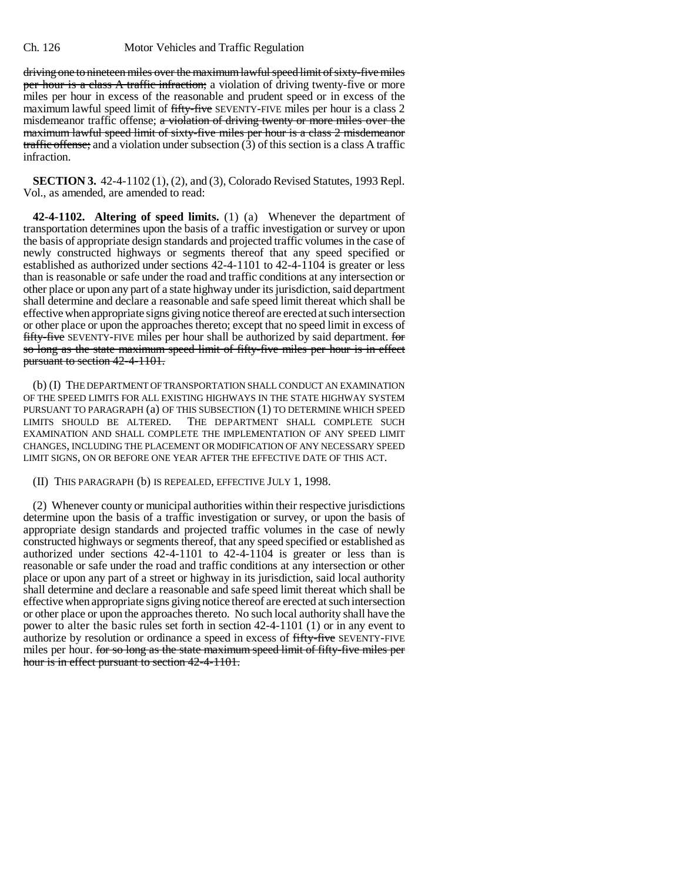driving one to nineteen miles over the maximum lawful speed limit of sixty-five miles per hour is a class A traffic infraction; a violation of driving twenty-five or more miles per hour in excess of the reasonable and prudent speed or in excess of the maximum lawful speed limit of fifty-five SEVENTY-FIVE miles per hour is a class 2 misdemeanor traffic offense; a violation of driving twenty or more miles over the maximum lawful speed limit of sixty-five miles per hour is a class 2 misdemeanor traffic offense; and a violation under subsection  $(3)$  of this section is a class A traffic infraction.

**SECTION 3.** 42-4-1102 (1), (2), and (3), Colorado Revised Statutes, 1993 Repl. Vol., as amended, are amended to read:

**42-4-1102. Altering of speed limits.** (1) (a) Whenever the department of transportation determines upon the basis of a traffic investigation or survey or upon the basis of appropriate design standards and projected traffic volumes in the case of newly constructed highways or segments thereof that any speed specified or established as authorized under sections 42-4-1101 to 42-4-1104 is greater or less than is reasonable or safe under the road and traffic conditions at any intersection or other place or upon any part of a state highway under its jurisdiction, said department shall determine and declare a reasonable and safe speed limit thereat which shall be effective when appropriate signs giving notice thereof are erected at such intersection or other place or upon the approaches thereto; except that no speed limit in excess of fifty-five SEVENTY-FIVE miles per hour shall be authorized by said department. for so long as the state maximum speed limit of fifty-five miles per hour is in effect pursuant to section 42-4-1101.

(b) (I) THE DEPARTMENT OF TRANSPORTATION SHALL CONDUCT AN EXAMINATION OF THE SPEED LIMITS FOR ALL EXISTING HIGHWAYS IN THE STATE HIGHWAY SYSTEM PURSUANT TO PARAGRAPH (a) OF THIS SUBSECTION (1) TO DETERMINE WHICH SPEED<br>LIMITS SHOULD BE ALTERED. THE DEPARTMENT SHALL COMPLETE SUCH THE DEPARTMENT SHALL COMPLETE SUCH EXAMINATION AND SHALL COMPLETE THE IMPLEMENTATION OF ANY SPEED LIMIT CHANGES, INCLUDING THE PLACEMENT OR MODIFICATION OF ANY NECESSARY SPEED LIMIT SIGNS, ON OR BEFORE ONE YEAR AFTER THE EFFECTIVE DATE OF THIS ACT.

(II) THIS PARAGRAPH (b) IS REPEALED, EFFECTIVE JULY 1, 1998.

(2) Whenever county or municipal authorities within their respective jurisdictions determine upon the basis of a traffic investigation or survey, or upon the basis of appropriate design standards and projected traffic volumes in the case of newly constructed highways or segments thereof, that any speed specified or established as authorized under sections 42-4-1101 to 42-4-1104 is greater or less than is reasonable or safe under the road and traffic conditions at any intersection or other place or upon any part of a street or highway in its jurisdiction, said local authority shall determine and declare a reasonable and safe speed limit thereat which shall be effective when appropriate signs giving notice thereof are erected at such intersection or other place or upon the approaches thereto. No such local authority shall have the power to alter the basic rules set forth in section 42-4-1101 (1) or in any event to authorize by resolution or ordinance a speed in excess of fifty-five SEVENTY-FIVE miles per hour. for so long as the state maximum speed limit of fifty-five miles per hour is in effect pursuant to section 42-4-1101.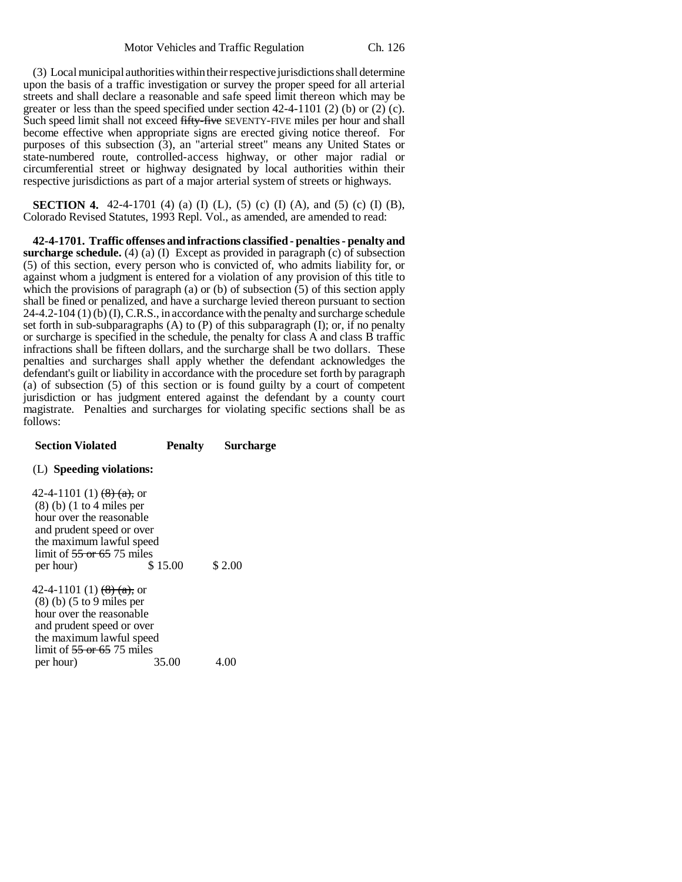(3) Local municipal authorities within their respective jurisdictions shall determine upon the basis of a traffic investigation or survey the proper speed for all arterial streets and shall declare a reasonable and safe speed limit thereon which may be greater or less than the speed specified under section 42-4-1101 (2) (b) or (2) (c). Such speed limit shall not exceed fifty-five SEVENTY-FIVE miles per hour and shall become effective when appropriate signs are erected giving notice thereof. For purposes of this subsection (3), an "arterial street" means any United States or state-numbered route, controlled-access highway, or other major radial or circumferential street or highway designated by local authorities within their respective jurisdictions as part of a major arterial system of streets or highways.

**SECTION 4.** 42-4-1701 (4) (a) (I) (L), (5) (c) (I) (A), and (5) (c) (I) (B), Colorado Revised Statutes, 1993 Repl. Vol., as amended, are amended to read:

**42-4-1701. Traffic offenses and infractions classified - penalties - penalty and surcharge schedule.** (4) (a) (I) Except as provided in paragraph (c) of subsection (5) of this section, every person who is convicted of, who admits liability for, or against whom a judgment is entered for a violation of any provision of this title to which the provisions of paragraph (a) or (b) of subsection  $(5)$  of this section apply shall be fined or penalized, and have a surcharge levied thereon pursuant to section  $24-4.2-104$  (1) (b) (I), C.R.S., in accordance with the penalty and surcharge schedule set forth in sub-subparagraphs  $(A)$  to  $(P)$  of this subparagraph  $(I)$ ; or, if no penalty or surcharge is specified in the schedule, the penalty for class A and class B traffic infractions shall be fifteen dollars, and the surcharge shall be two dollars. These penalties and surcharges shall apply whether the defendant acknowledges the defendant's guilt or liability in accordance with the procedure set forth by paragraph (a) of subsection (5) of this section or is found guilty by a court of competent jurisdiction or has judgment entered against the defendant by a county court magistrate. Penalties and surcharges for violating specific sections shall be as follows:

## **Section Violated Penalty Surcharge**

## (L) **Speeding violations:**

42-4-1101 (1)  $\left(\frac{8}{2}\right)$  (a), or (8) (b) (1 to 4 miles per hour over the reasonable and prudent speed or over the maximum lawful speed limit of  $\frac{55 \text{ or } 65}{575}$  miles<br>per hour) \$15.00 per hour) \$15.00 \$2.00 42-4-1101 (1)  $\left(\frac{8}{2}\right)\left(\frac{a}{2}\right)$ , or (8) (b) (5 to 9 miles per hour over the reasonable and prudent speed or over the maximum lawful speed limit of  $\frac{55 \text{ or } 65}{25 \text{ miles}}$ <br>per hour) 35.00 per hour) 35.00 4.00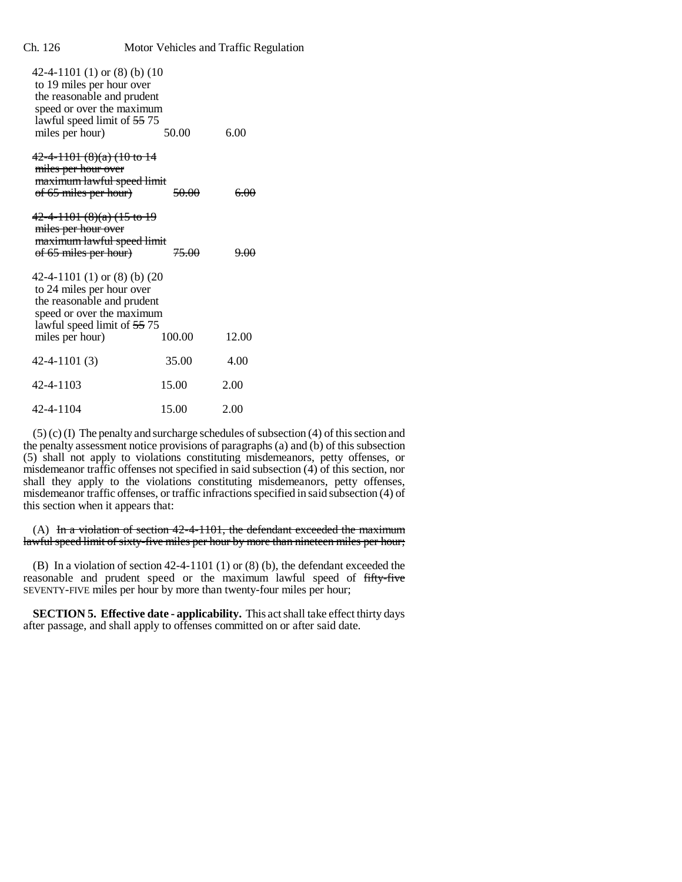| 42-4-1101 (1) or $(8)$ (b) (10<br>to 19 miles per hour over<br>the reasonable and prudent<br>speed or over the maximum<br>lawful speed limit of 55 75<br>miles per hour)                       | 50.00 | 6.00 |
|------------------------------------------------------------------------------------------------------------------------------------------------------------------------------------------------|-------|------|
| $42-4-1101 (8)(a) (10 to 14)$<br>miles per hour over<br>maximum lawful speed limit<br>of 65 miles per hour)<br>50.00<br>₩                                                                      |       |      |
| 42-4-1101 (8)(a) (15 to 19<br>miles per hour over<br>maximum lawful speed limit<br>of 65 miles per hour)<br><del>75.00</del>                                                                   |       |      |
| 42-4-1101 (1) or $(8)$ (b) $(20)$<br>to 24 miles per hour over<br>the reasonable and prudent<br>speed or over the maximum<br>lawful speed limit of 55 75<br>miles per hour)<br>100.00<br>12.00 |       |      |
| $42 - 4 - 1101(3)$                                                                                                                                                                             | 35.00 | 4.00 |
| 42-4-1103                                                                                                                                                                                      | 15.00 | 2.00 |
| 42-4-1104                                                                                                                                                                                      | 15.00 | 2.00 |

(5) (c) (I) The penalty and surcharge schedules of subsection (4) of this section and the penalty assessment notice provisions of paragraphs (a) and (b) of this subsection (5) shall not apply to violations constituting misdemeanors, petty offenses, or misdemeanor traffic offenses not specified in said subsection (4) of this section, nor shall they apply to the violations constituting misdemeanors, petty offenses, misdemeanor traffic offenses, or traffic infractions specified in said subsection (4) of this section when it appears that:

(A) In a violation of section  $42-4-1101$ , the defendant exceeded the maximum lawful speed limit of sixty-five miles per hour by more than nineteen miles per hour;

(B) In a violation of section 42-4-1101 (1) or (8) (b), the defendant exceeded the reasonable and prudent speed or the maximum lawful speed of fifty-five SEVENTY-FIVE miles per hour by more than twenty-four miles per hour;

**SECTION 5. Effective date - applicability.** This act shall take effect thirty days after passage, and shall apply to offenses committed on or after said date.